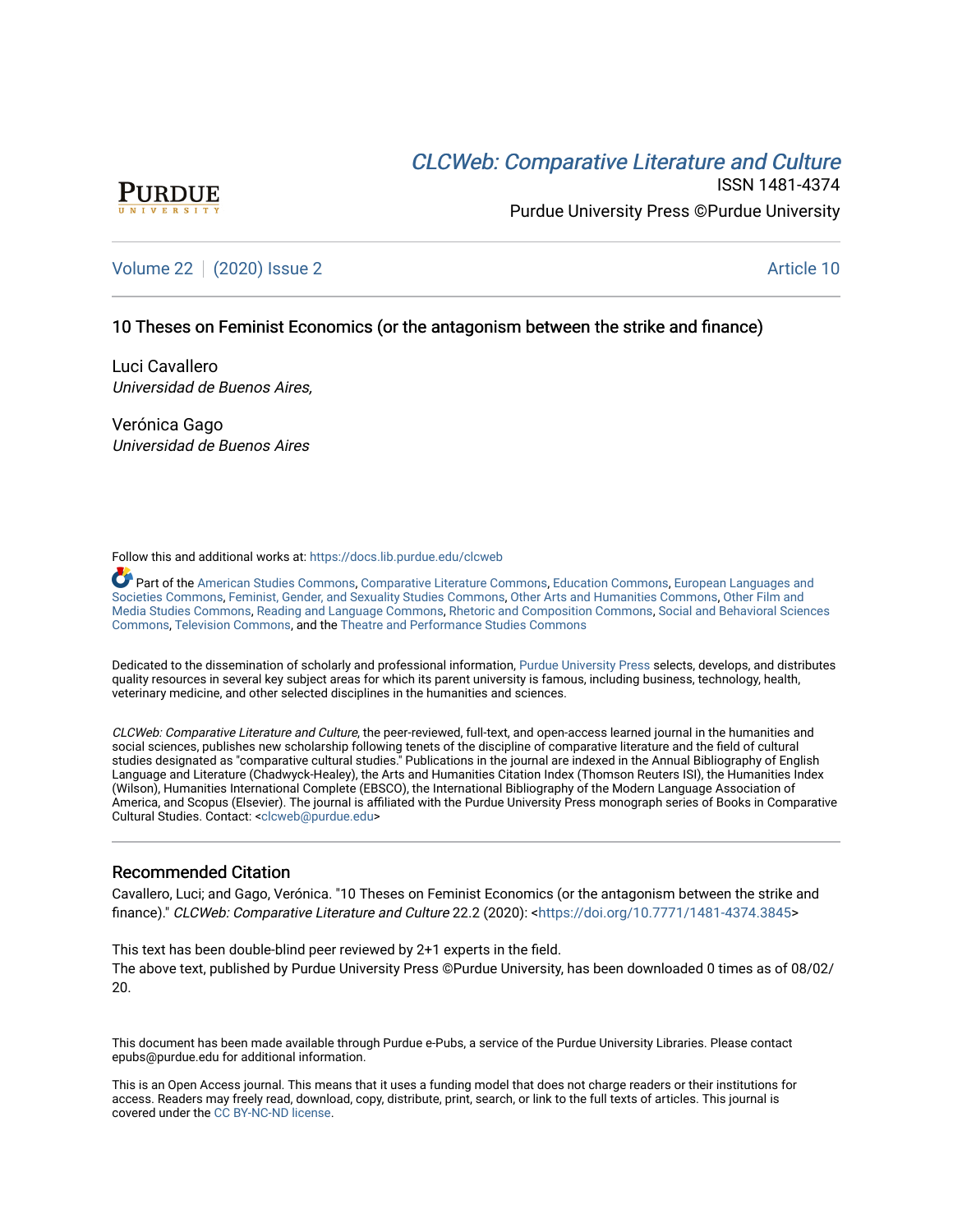# CLCW[eb: Comparative Liter](https://docs.lib.purdue.edu/clcweb)ature and Culture



ISSN 1481-4374 Purdue University Press ©Purdue University

# [Volume 22](https://docs.lib.purdue.edu/clcweb/vol22) | [\(2020\) Issue 2](https://docs.lib.purdue.edu/clcweb/vol22/iss2) Article 10

# 10 Theses on Feminist Economics (or the antagonism between the strike and finance)

Luci Cavallero Universidad de Buenos Aires,

Verónica Gago Universidad de Buenos Aires

Follow this and additional works at: [https://docs.lib.purdue.edu/clcweb](https://docs.lib.purdue.edu/clcweb?utm_source=docs.lib.purdue.edu%2Fclcweb%2Fvol22%2Fiss2%2F10&utm_medium=PDF&utm_campaign=PDFCoverPages)

Part of the [American Studies Commons](http://network.bepress.com/hgg/discipline/439?utm_source=docs.lib.purdue.edu%2Fclcweb%2Fvol22%2Fiss2%2F10&utm_medium=PDF&utm_campaign=PDFCoverPages), [Comparative Literature Commons,](http://network.bepress.com/hgg/discipline/454?utm_source=docs.lib.purdue.edu%2Fclcweb%2Fvol22%2Fiss2%2F10&utm_medium=PDF&utm_campaign=PDFCoverPages) [Education Commons,](http://network.bepress.com/hgg/discipline/784?utm_source=docs.lib.purdue.edu%2Fclcweb%2Fvol22%2Fiss2%2F10&utm_medium=PDF&utm_campaign=PDFCoverPages) [European Languages and](http://network.bepress.com/hgg/discipline/482?utm_source=docs.lib.purdue.edu%2Fclcweb%2Fvol22%2Fiss2%2F10&utm_medium=PDF&utm_campaign=PDFCoverPages) [Societies Commons](http://network.bepress.com/hgg/discipline/482?utm_source=docs.lib.purdue.edu%2Fclcweb%2Fvol22%2Fiss2%2F10&utm_medium=PDF&utm_campaign=PDFCoverPages), [Feminist, Gender, and Sexuality Studies Commons,](http://network.bepress.com/hgg/discipline/559?utm_source=docs.lib.purdue.edu%2Fclcweb%2Fvol22%2Fiss2%2F10&utm_medium=PDF&utm_campaign=PDFCoverPages) [Other Arts and Humanities Commons](http://network.bepress.com/hgg/discipline/577?utm_source=docs.lib.purdue.edu%2Fclcweb%2Fvol22%2Fiss2%2F10&utm_medium=PDF&utm_campaign=PDFCoverPages), [Other Film and](http://network.bepress.com/hgg/discipline/565?utm_source=docs.lib.purdue.edu%2Fclcweb%2Fvol22%2Fiss2%2F10&utm_medium=PDF&utm_campaign=PDFCoverPages)  [Media Studies Commons](http://network.bepress.com/hgg/discipline/565?utm_source=docs.lib.purdue.edu%2Fclcweb%2Fvol22%2Fiss2%2F10&utm_medium=PDF&utm_campaign=PDFCoverPages), [Reading and Language Commons](http://network.bepress.com/hgg/discipline/1037?utm_source=docs.lib.purdue.edu%2Fclcweb%2Fvol22%2Fiss2%2F10&utm_medium=PDF&utm_campaign=PDFCoverPages), [Rhetoric and Composition Commons,](http://network.bepress.com/hgg/discipline/573?utm_source=docs.lib.purdue.edu%2Fclcweb%2Fvol22%2Fiss2%2F10&utm_medium=PDF&utm_campaign=PDFCoverPages) [Social and Behavioral Sciences](http://network.bepress.com/hgg/discipline/316?utm_source=docs.lib.purdue.edu%2Fclcweb%2Fvol22%2Fiss2%2F10&utm_medium=PDF&utm_campaign=PDFCoverPages) [Commons,](http://network.bepress.com/hgg/discipline/316?utm_source=docs.lib.purdue.edu%2Fclcweb%2Fvol22%2Fiss2%2F10&utm_medium=PDF&utm_campaign=PDFCoverPages) [Television Commons,](http://network.bepress.com/hgg/discipline/1143?utm_source=docs.lib.purdue.edu%2Fclcweb%2Fvol22%2Fiss2%2F10&utm_medium=PDF&utm_campaign=PDFCoverPages) and the [Theatre and Performance Studies Commons](http://network.bepress.com/hgg/discipline/552?utm_source=docs.lib.purdue.edu%2Fclcweb%2Fvol22%2Fiss2%2F10&utm_medium=PDF&utm_campaign=PDFCoverPages)

Dedicated to the dissemination of scholarly and professional information, [Purdue University Press](http://www.thepress.purdue.edu/) selects, develops, and distributes quality resources in several key subject areas for which its parent university is famous, including business, technology, health, veterinary medicine, and other selected disciplines in the humanities and sciences.

CLCWeb: Comparative Literature and Culture, the peer-reviewed, full-text, and open-access learned journal in the humanities and social sciences, publishes new scholarship following tenets of the discipline of comparative literature and the field of cultural studies designated as "comparative cultural studies." Publications in the journal are indexed in the Annual Bibliography of English Language and Literature (Chadwyck-Healey), the Arts and Humanities Citation Index (Thomson Reuters ISI), the Humanities Index (Wilson), Humanities International Complete (EBSCO), the International Bibliography of the Modern Language Association of America, and Scopus (Elsevier). The journal is affiliated with the Purdue University Press monograph series of Books in Comparative Cultural Studies. Contact: [<clcweb@purdue.edu](mailto:clcweb@purdue.edu)>

# Recommended Citation

Cavallero, Luci; and Gago, Verónica. "10 Theses on Feminist Economics (or the antagonism between the strike and finance)." CLCWeb: Comparative Literature and Culture 22.2 (2020): <[https://doi.org/10.7771/1481-4374.3845>](https://doi.org/10.7771/1481-4374.3845)

This text has been double-blind peer reviewed by 2+1 experts in the field. The above text, published by Purdue University Press ©Purdue University, has been downloaded 0 times as of 08/02/ 20.

This document has been made available through Purdue e-Pubs, a service of the Purdue University Libraries. Please contact epubs@purdue.edu for additional information.

This is an Open Access journal. This means that it uses a funding model that does not charge readers or their institutions for access. Readers may freely read, download, copy, distribute, print, search, or link to the full texts of articles. This journal is covered under the [CC BY-NC-ND license.](https://creativecommons.org/licenses/by-nc-nd/4.0/)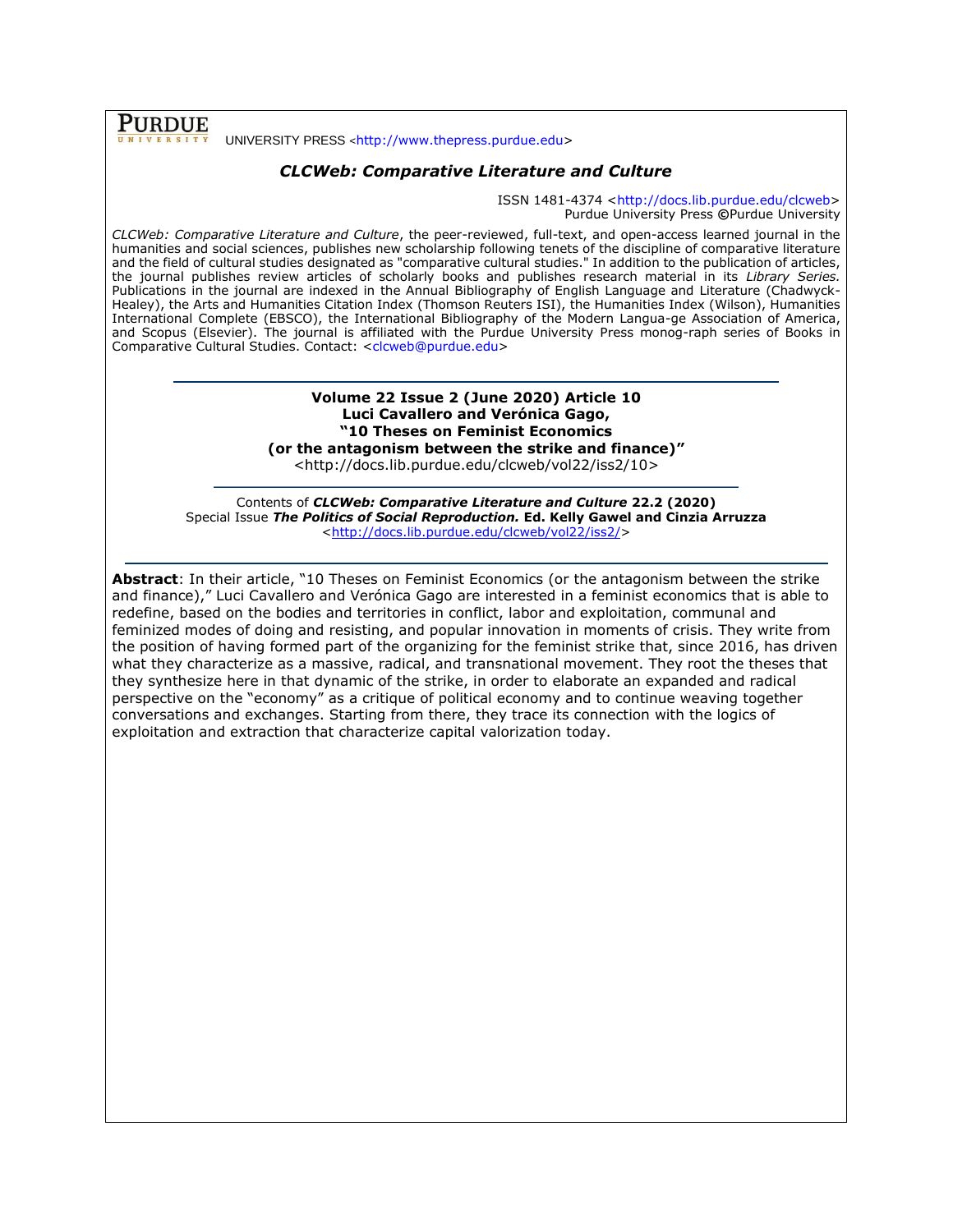**PURDUE** 

#### UNIVERSITY PRESS <[http://www.thepress.purdue.edu>](http://www.thepress.purdue.edu/)

# *CLCWeb: Comparative Literature and Culture*

ISSN 1481-4374 [<http://docs.lib.purdue.edu/clcweb>](http://docs.lib.purdue.edu/clcweb) Purdue University Press **©**Purdue University

*CLCWeb: Comparative Literature and Culture*, the peer-reviewed, full-text, and open-access learned journal in the humanities and social sciences, publishes new scholarship following tenets of the discipline of comparative literature and the field of cultural studies designated as "comparative cultural studies." In addition to the publication of articles, the journal publishes review articles of scholarly books and publishes research material in its *Library Series.*  Publications in the journal are indexed in the Annual Bibliography of English Language and Literature (Chadwyck-Healey), the Arts and Humanities Citation Index (Thomson Reuters ISI), the Humanities Index (Wilson), Humanities International Complete (EBSCO), the International Bibliography of the Modern Langua-ge Association of America, and Scopus (Elsevier). The journal is affiliated with the Purdue University Press monog-raph series of Books in Comparative Cultural Studies. Contact: [<clcweb@purdue.edu>](mailto:clcweb@purdue.edu)

> **Volume 22 Issue 2 (June 2020) Article 10 Luci Cavallero and Verónica Gago, "10 Theses on Feminist Economics (or the antagonism between the strike and finance)"** <http://docs.lib.purdue.edu/clcweb/vol22/iss2/10>

Contents of *CLCWeb: Comparative Literature and Culture* **22.2 (2020)** Special Issue *The Politics of Social Reproduction.* **Ed. Kelly Gawel and Cinzia Arruzza**  [<http://docs.lib.purdue.edu/clcweb/vol22/iss2/>](http://docs.lib.purdue.edu/clcweb/vol22/iss2/)

**Abstract**: In their article, "10 Theses on Feminist Economics (or the antagonism between the strike and finance)," Luci Cavallero and Verónica Gago are interested in a feminist economics that is able to redefine, based on the bodies and territories in conflict, labor and exploitation, communal and feminized modes of doing and resisting, and popular innovation in moments of crisis. They write from the position of having formed part of the organizing for the feminist strike that, since 2016, has driven what they characterize as a massive, radical, and transnational movement. They root the theses that they synthesize here in that dynamic of the strike, in order to elaborate an expanded and radical perspective on the "economy" as a critique of political economy and to continue weaving together conversations and exchanges. Starting from there, they trace its connection with the logics of exploitation and extraction that characterize capital valorization today.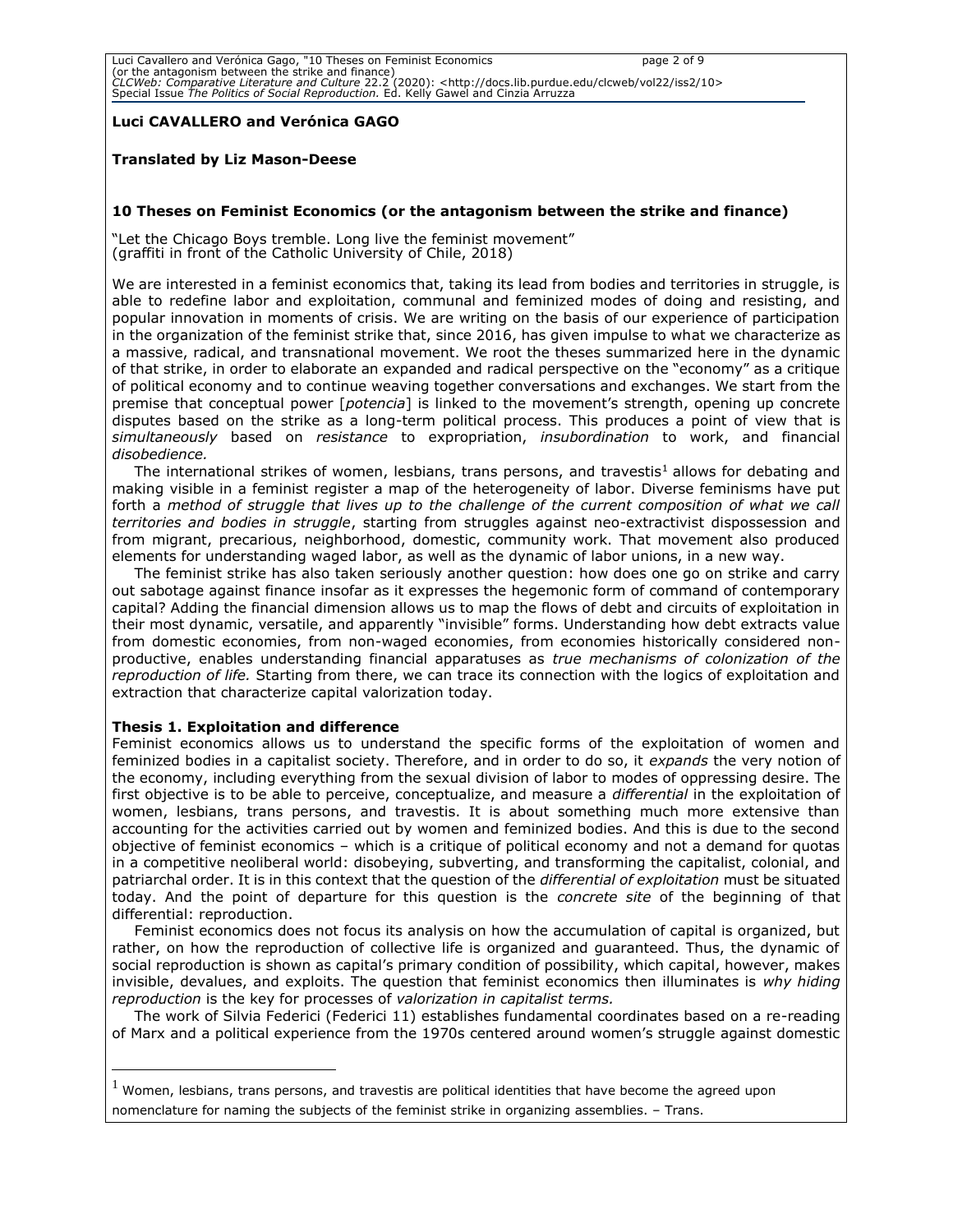### **Luci CAVALLERO and Verónica GAGO**

#### **Translated by Liz Mason-Deese**

#### **10 Theses on Feminist Economics (or the antagonism between the strike and finance)**

"Let the Chicago Boys tremble. Long live the feminist movement" (graffiti in front of the Catholic University of Chile, 2018)

We are interested in a feminist economics that, taking its lead from bodies and territories in struggle, is able to redefine labor and exploitation, communal and feminized modes of doing and resisting, and popular innovation in moments of crisis. We are writing on the basis of our experience of participation in the organization of the feminist strike that, since 2016, has given impulse to what we characterize as a massive, radical, and transnational movement. We root the theses summarized here in the dynamic of that strike, in order to elaborate an expanded and radical perspective on the "economy" as a critique of political economy and to continue weaving together conversations and exchanges. We start from the premise that conceptual power [*potencia*] is linked to the movement's strength, opening up concrete disputes based on the strike as a long-term political process. This produces a point of view that is *simultaneously* based on *resistance* to expropriation, *insubordination* to work, and financial *disobedience.* 

The international strikes of women, lesbians, trans persons, and travestis<sup>1</sup> allows for debating and making visible in a feminist register a map of the heterogeneity of labor. Diverse feminisms have put forth a *method of struggle that lives up to the challenge of the current composition of what we call territories and bodies in struggle*, starting from struggles against neo-extractivist dispossession and from migrant, precarious, neighborhood, domestic, community work. That movement also produced elements for understanding waged labor, as well as the dynamic of labor unions, in a new way.

The feminist strike has also taken seriously another question: how does one go on strike and carry out sabotage against finance insofar as it expresses the hegemonic form of command of contemporary capital? Adding the financial dimension allows us to map the flows of debt and circuits of exploitation in their most dynamic, versatile, and apparently "invisible" forms. Understanding how debt extracts value from domestic economies, from non-waged economies, from economies historically considered nonproductive, enables understanding financial apparatuses as *true mechanisms of colonization of the reproduction of life.* Starting from there, we can trace its connection with the logics of exploitation and extraction that characterize capital valorization today.

#### **Thesis 1. Exploitation and difference**

Feminist economics allows us to understand the specific forms of the exploitation of women and feminized bodies in a capitalist society. Therefore, and in order to do so, it *expands* the very notion of the economy, including everything from the sexual division of labor to modes of oppressing desire. The first objective is to be able to perceive, conceptualize, and measure a *differential* in the exploitation of women, lesbians, trans persons, and travestis. It is about something much more extensive than accounting for the activities carried out by women and feminized bodies. And this is due to the second objective of feminist economics – which is a critique of political economy and not a demand for quotas in a competitive neoliberal world: disobeying, subverting, and transforming the capitalist, colonial, and patriarchal order. It is in this context that the question of the *differential of exploitation* must be situated today. And the point of departure for this question is the *concrete site* of the beginning of that differential: reproduction.

Feminist economics does not focus its analysis on how the accumulation of capital is organized, but rather, on how the reproduction of collective life is organized and guaranteed. Thus, the dynamic of social reproduction is shown as capital's primary condition of possibility, which capital, however, makes invisible, devalues, and exploits. The question that feminist economics then illuminates is *why hiding reproduction* is the key for processes of *valorization in capitalist terms.* 

The work of Silvia Federici (Federici 11) establishes fundamental coordinates based on a re-reading of Marx and a political experience from the 1970s centered around women's struggle against domestic

 $<sup>1</sup>$  Women, lesbians, trans persons, and travestis are political identities that have become the agreed upon</sup> nomenclature for naming the subjects of the feminist strike in organizing assemblies. – Trans.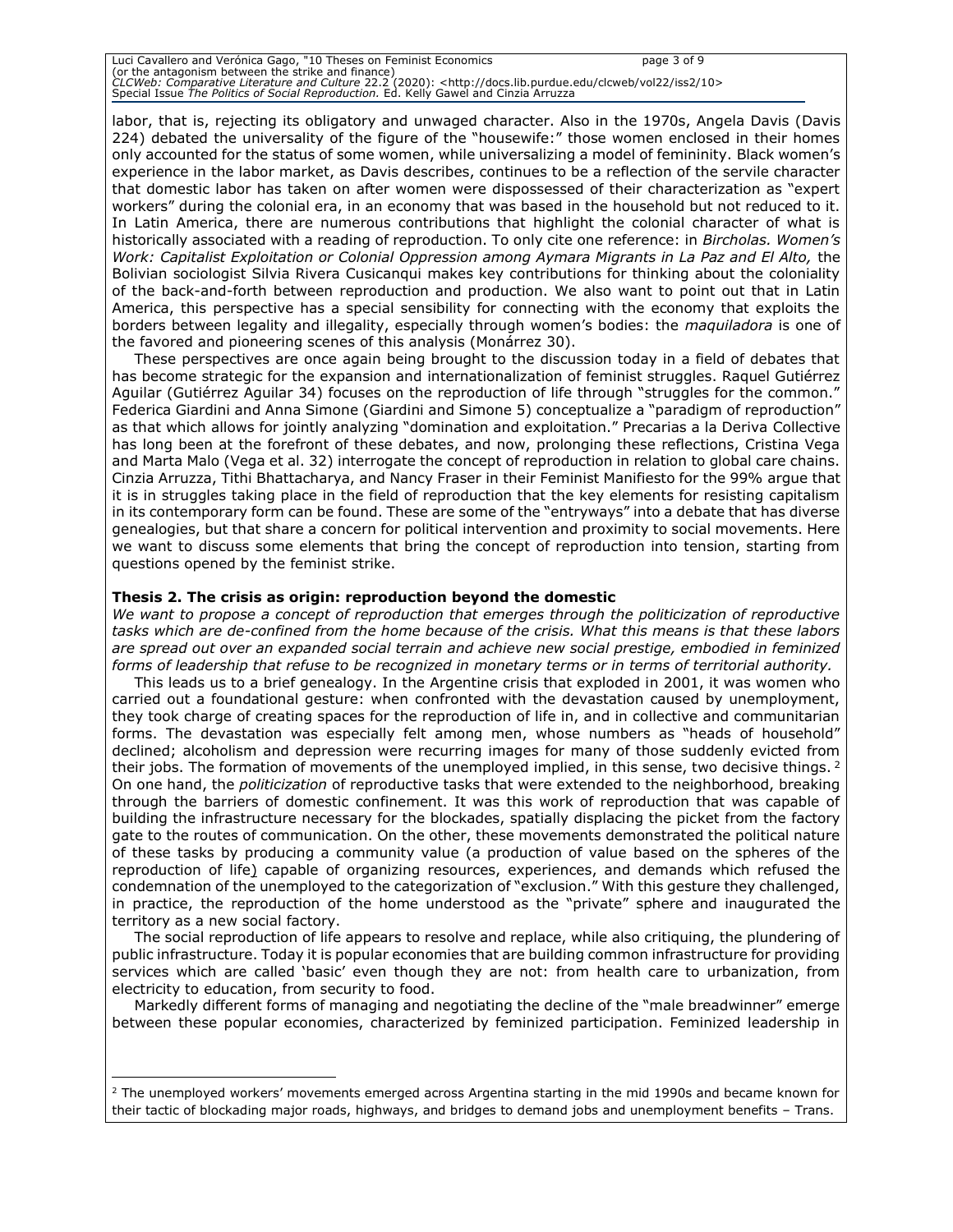| Luci Cavallero and Verónica Gago, "10 Theses on Feminist Economics                                                              | page 3 of 9 |
|---------------------------------------------------------------------------------------------------------------------------------|-------------|
| (or the antagonism between the strike and finance)                                                                              |             |
| CLCWeb: Comparative Literature and Culture 22.2 (2020): <http: 10="" clcweb="" docs.lib.purdue.edu="" iss2="" vol22=""></http:> |             |
| Special Issue The Politics of Social Reproduction, Ed. Kelly Gawel and Cinzia Arruzza                                           |             |

labor, that is, rejecting its obligatory and unwaged character. Also in the 1970s, Angela Davis (Davis 224) debated the universality of the figure of the "housewife:" those women enclosed in their homes only accounted for the status of some women, while universalizing a model of femininity. Black women's experience in the labor market, as Davis describes, continues to be a reflection of the servile character that domestic labor has taken on after women were dispossessed of their characterization as "expert workers" during the colonial era, in an economy that was based in the household but not reduced to it. In Latin America, there are numerous contributions that highlight the colonial character of what is historically associated with a reading of reproduction. To only cite one reference: in *Bircholas. Women's*  Work: Capitalist Exploitation or Colonial Oppression among Aymara Migrants in La Paz and El Alto, the Bolivian sociologist Silvia Rivera Cusicanqui makes key contributions for thinking about the coloniality of the back-and-forth between reproduction and production. We also want to point out that in Latin America, this perspective has a special sensibility for connecting with the economy that exploits the borders between legality and illegality, especially through women's bodies: the *maquiladora* is one of the favored and pioneering scenes of this analysis (Monárrez 30).

These perspectives are once again being brought to the discussion today in a field of debates that has become strategic for the expansion and internationalization of feminist struggles. Raquel Gutiérrez Aguilar (Gutiérrez Aguilar 34) focuses on the reproduction of life through "struggles for the common.' Federica Giardini and Anna Simone (Giardini and Simone 5) conceptualize a "paradigm of reproduction" as that which allows for jointly analyzing "domination and exploitation." Precarias a la Deriva Collective has long been at the forefront of these debates, and now, prolonging these reflections, Cristina Vega and Marta Malo (Vega et al. 32) interrogate the concept of reproduction in relation to global care chains. Cinzia Arruzza, Tithi Bhattacharya, and Nancy Fraser in their Feminist Manifiesto for the 99% argue that it is in struggles taking place in the field of reproduction that the key elements for resisting capitalism in its contemporary form can be found. These are some of the "entryways" into a debate that has diverse genealogies, but that share a concern for political intervention and proximity to social movements. Here we want to discuss some elements that bring the concept of reproduction into tension, starting from questions opened by the feminist strike.

#### **Thesis 2. The crisis as origin: reproduction beyond the domestic**

*We want to propose a concept of reproduction that emerges through the politicization of reproductive tasks which are de-confined from the home because of the crisis. What this means is that these labors are spread out over an expanded social terrain and achieve new social prestige, embodied in feminized forms of leadership that refuse to be recognized in monetary terms or in terms of territorial authority.* 

This leads us to a brief genealogy. In the Argentine crisis that exploded in 2001, it was women who carried out a foundational gesture: when confronted with the devastation caused by unemployment, they took charge of creating spaces for the reproduction of life in, and in collective and communitarian forms. The devastation was especially felt among men, whose numbers as "heads of household" declined; alcoholism and depression were recurring images for many of those suddenly evicted from their jobs. The formation of movements of the unemployed implied, in this sense, two decisive things. <sup>2</sup> On one hand, the *politicization* of reproductive tasks that were extended to the neighborhood, breaking through the barriers of domestic confinement. It was this work of reproduction that was capable of building the infrastructure necessary for the blockades, spatially displacing the picket from the factory gate to the routes of communication. On the other, these movements demonstrated the political nature of these tasks by producing a community value (a production of value based on the spheres of the reproduction of life) capable of organizing resources, experiences, and demands which refused the condemnation of the unemployed to the categorization of "exclusion." With this gesture they challenged, in practice, the reproduction of the home understood as the "private" sphere and inaugurated the territory as a new social factory.

The social reproduction of life appears to resolve and replace, while also critiquing, the plundering of public infrastructure. Today it is popular economies that are building common infrastructure for providing services which are called 'basic' even though they are not: from health care to urbanization, from electricity to education, from security to food.

Markedly different forms of managing and negotiating the decline of the "male breadwinner" emerge between these popular economies, characterized by feminized participation. Feminized leadership in

 $2$  The unemployed workers' movements emerged across Argentina starting in the mid 1990s and became known for their tactic of blockading major roads, highways, and bridges to demand jobs and unemployment benefits – Trans.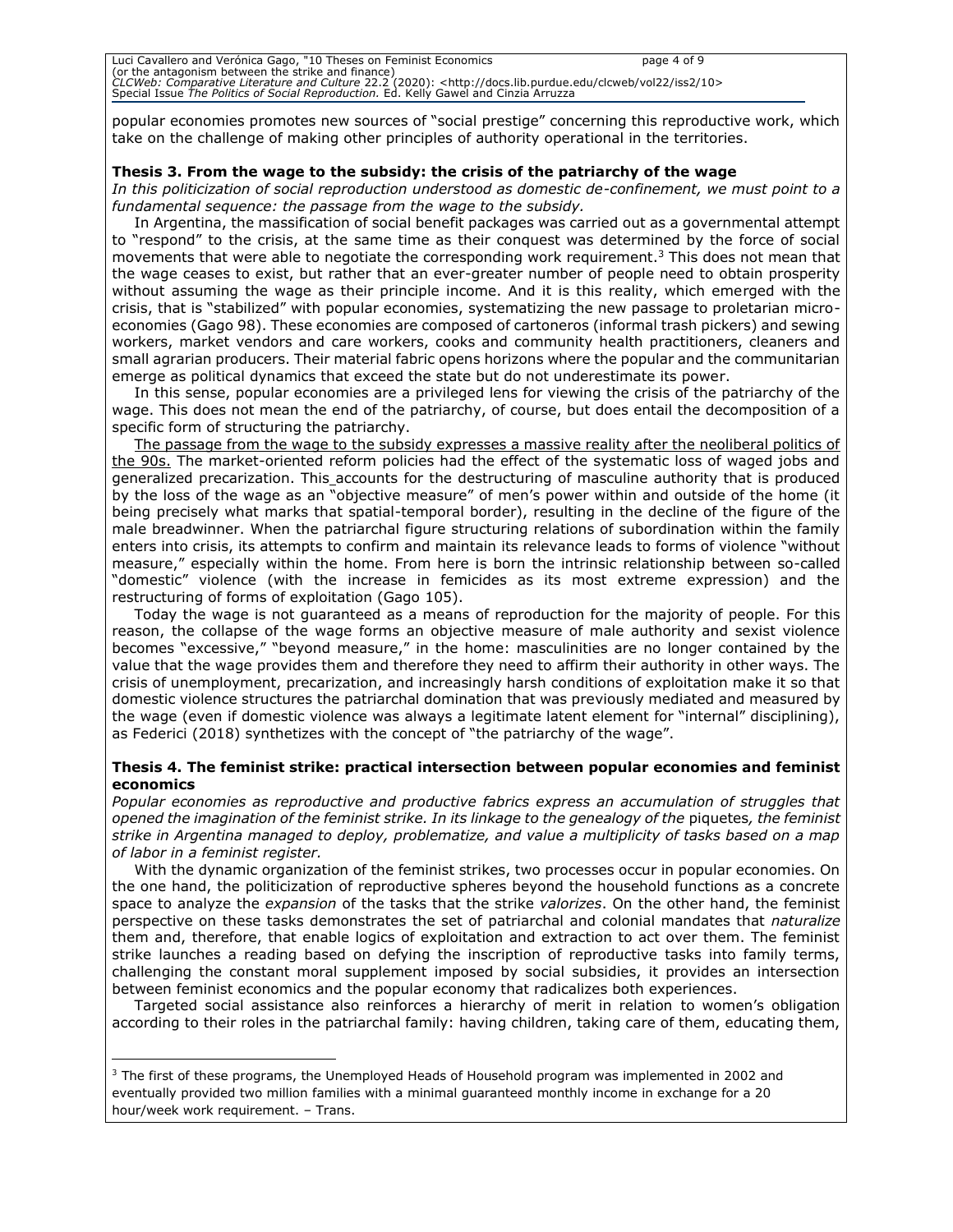| Luci Cavallero and Verónica Gago, "10 Theses on Feminist Economics                                                              | page 4 of 9 |
|---------------------------------------------------------------------------------------------------------------------------------|-------------|
| (or the antagonism between the strike and finance)                                                                              |             |
| CLCWeb: Comparative Literature and Culture 22.2 (2020): <http: 10="" clcweb="" docs.lib.purdue.edu="" iss2="" vol22=""></http:> |             |
| Special Issue The Politics of Social Reproduction. Ed. Kelly Gawel and Cinzia Arruzza                                           |             |

popular economies promotes new sources of "social prestige" concerning this reproductive work, which take on the challenge of making other principles of authority operational in the territories.

# **Thesis 3. From the wage to the subsidy: the crisis of the patriarchy of the wage**

*In this politicization of social reproduction understood as domestic de-confinement, we must point to a fundamental sequence: the passage from the wage to the subsidy.* 

In Argentina, the massification of social benefit packages was carried out as a governmental attempt to "respond" to the crisis, at the same time as their conquest was determined by the force of social movements that were able to negotiate the corresponding work requirement.<sup>3</sup> This does not mean that the wage ceases to exist, but rather that an ever-greater number of people need to obtain prosperity without assuming the wage as their principle income. And it is this reality, which emerged with the crisis, that is "stabilized" with popular economies, systematizing the new passage to proletarian microeconomies (Gago 98). These economies are composed of cartoneros (informal trash pickers) and sewing workers, market vendors and care workers, cooks and community health practitioners, cleaners and small agrarian producers. Their material fabric opens horizons where the popular and the communitarian emerge as political dynamics that exceed the state but do not underestimate its power.

In this sense, popular economies are a privileged lens for viewing the crisis of the patriarchy of the wage. This does not mean the end of the patriarchy, of course, but does entail the decomposition of a specific form of structuring the patriarchy.

The passage from the wage to the subsidy expresses a massive reality after the neoliberal politics of the 90s. The market-oriented reform policies had the effect of the systematic loss of waged jobs and generalized precarization. This accounts for the destructuring of masculine authority that is produced by the loss of the wage as an "objective measure" of men's power within and outside of the home (it being precisely what marks that spatial-temporal border), resulting in the decline of the figure of the male breadwinner. When the patriarchal figure structuring relations of subordination within the family enters into crisis, its attempts to confirm and maintain its relevance leads to forms of violence "without measure," especially within the home. From here is born the intrinsic relationship between so-called "domestic" violence (with the increase in femicides as its most extreme expression) and the restructuring of forms of exploitation (Gago 105).

Today the wage is not guaranteed as a means of reproduction for the majority of people. For this reason, the collapse of the wage forms an objective measure of male authority and sexist violence becomes "excessive," "beyond measure," in the home: masculinities are no longer contained by the value that the wage provides them and therefore they need to affirm their authority in other ways. The crisis of unemployment, precarization, and increasingly harsh conditions of exploitation make it so that domestic violence structures the patriarchal domination that was previously mediated and measured by the wage (even if domestic violence was always a legitimate latent element for "internal" disciplining), as Federici (2018) synthetizes with the concept of "the patriarchy of the wage".

#### **Thesis 4. The feminist strike: practical intersection between popular economies and feminist economics**

*Popular economies as reproductive and productive fabrics express an accumulation of struggles that opened the imagination of the feminist strike. In its linkage to the genealogy of the* piquetes*, the feminist strike in Argentina managed to deploy, problematize, and value a multiplicity of tasks based on a map of labor in a feminist register.* 

With the dynamic organization of the feminist strikes, two processes occur in popular economies. On the one hand, the politicization of reproductive spheres beyond the household functions as a concrete space to analyze the *expansion* of the tasks that the strike *valorizes*. On the other hand, the feminist perspective on these tasks demonstrates the set of patriarchal and colonial mandates that *naturalize*  them and, therefore, that enable logics of exploitation and extraction to act over them. The feminist strike launches a reading based on defying the inscription of reproductive tasks into family terms, challenging the constant moral supplement imposed by social subsidies, it provides an intersection between feminist economics and the popular economy that radicalizes both experiences.

Targeted social assistance also reinforces a hierarchy of merit in relation to women's obligation according to their roles in the patriarchal family: having children, taking care of them, educating them,

<sup>&</sup>lt;sup>3</sup> The first of these programs, the Unemployed Heads of Household program was implemented in 2002 and eventually provided two million families with a minimal guaranteed monthly income in exchange for a 20 hour/week work requirement. – Trans.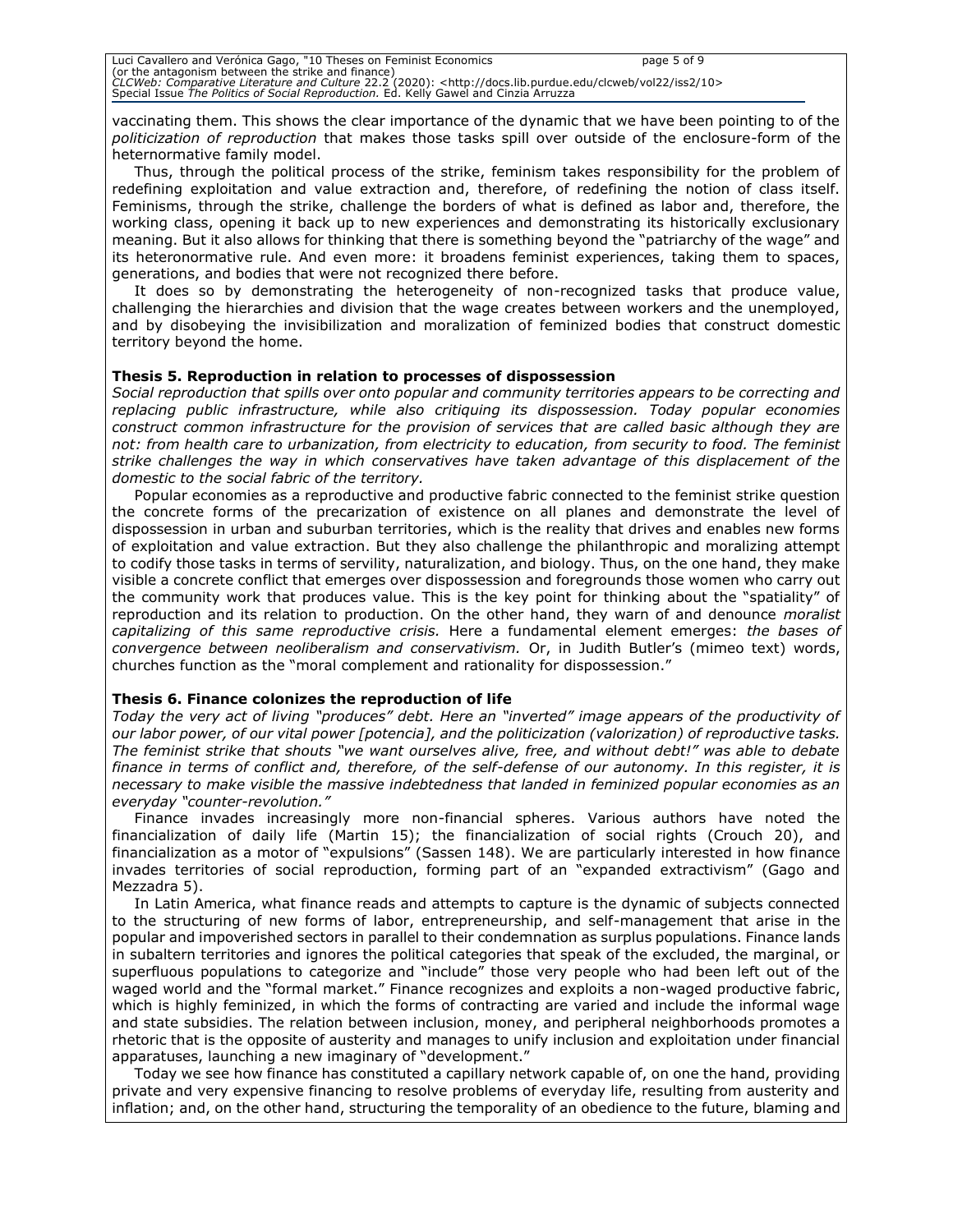vaccinating them. This shows the clear importance of the dynamic that we have been pointing to of the *politicization of reproduction* that makes those tasks spill over outside of the enclosure-form of the heternormative family model.

Thus, through the political process of the strike, feminism takes responsibility for the problem of redefining exploitation and value extraction and, therefore, of redefining the notion of class itself. Feminisms, through the strike, challenge the borders of what is defined as labor and, therefore, the working class, opening it back up to new experiences and demonstrating its historically exclusionary meaning. But it also allows for thinking that there is something beyond the "patriarchy of the wage" and its heteronormative rule. And even more: it broadens feminist experiences, taking them to spaces, generations, and bodies that were not recognized there before.

It does so by demonstrating the heterogeneity of non-recognized tasks that produce value, challenging the hierarchies and division that the wage creates between workers and the unemployed, and by disobeying the invisibilization and moralization of feminized bodies that construct domestic territory beyond the home.

# **Thesis 5. Reproduction in relation to processes of dispossession**

*Social reproduction that spills over onto popular and community territories appears to be correcting and replacing public infrastructure, while also critiquing its dispossession. Today popular economies construct common infrastructure for the provision of services that are called basic although they are not: from health care to urbanization, from electricity to education, from security to food. The feminist strike challenges the way in which conservatives have taken advantage of this displacement of the domestic to the social fabric of the territory.* 

Popular economies as a reproductive and productive fabric connected to the feminist strike question the concrete forms of the precarization of existence on all planes and demonstrate the level of dispossession in urban and suburban territories, which is the reality that drives and enables new forms of exploitation and value extraction. But they also challenge the philanthropic and moralizing attempt to codify those tasks in terms of servility, naturalization, and biology. Thus, on the one hand, they make visible a concrete conflict that emerges over dispossession and foregrounds those women who carry out the community work that produces value. This is the key point for thinking about the "spatiality" of reproduction and its relation to production. On the other hand, they warn of and denounce *moralist capitalizing of this same reproductive crisis.* Here a fundamental element emerges: *the bases of convergence between neoliberalism and conservativism.* Or, in Judith Butler's (mimeo text) words, churches function as the "moral complement and rationality for dispossession."

#### **Thesis 6. Finance colonizes the reproduction of life**

*Today the very act of living "produces" debt. Here an "inverted" image appears of the productivity of our labor power, of our vital power [potencia], and the politicization (valorization) of reproductive tasks. The feminist strike that shouts "we want ourselves alive, free, and without debt!" was able to debate finance in terms of conflict and, therefore, of the self-defense of our autonomy. In this register, it is necessary to make visible the massive indebtedness that landed in feminized popular economies as an everyday "counter-revolution."* 

Finance invades increasingly more non-financial spheres. Various authors have noted the financialization of daily life (Martin 15); the financialization of social rights (Crouch 20), and financialization as a motor of "expulsions" (Sassen 148). We are particularly interested in how finance invades territories of social reproduction, forming part of an "expanded extractivism" (Gago and Mezzadra 5).

In Latin America, what finance reads and attempts to capture is the dynamic of subjects connected to the structuring of new forms of labor, entrepreneurship, and self-management that arise in the popular and impoverished sectors in parallel to their condemnation as surplus populations. Finance lands in subaltern territories and ignores the political categories that speak of the excluded, the marginal, or superfluous populations to categorize and "include" those very people who had been left out of the waged world and the "formal market." Finance recognizes and exploits a non-waged productive fabric, which is highly feminized, in which the forms of contracting are varied and include the informal wage and state subsidies. The relation between inclusion, money, and peripheral neighborhoods promotes a rhetoric that is the opposite of austerity and manages to unify inclusion and exploitation under financial apparatuses, launching a new imaginary of "development."

Today we see how finance has constituted a capillary network capable of, on one the hand, providing private and very expensive financing to resolve problems of everyday life, resulting from austerity and inflation; and, on the other hand, structuring the temporality of an obedience to the future, blaming and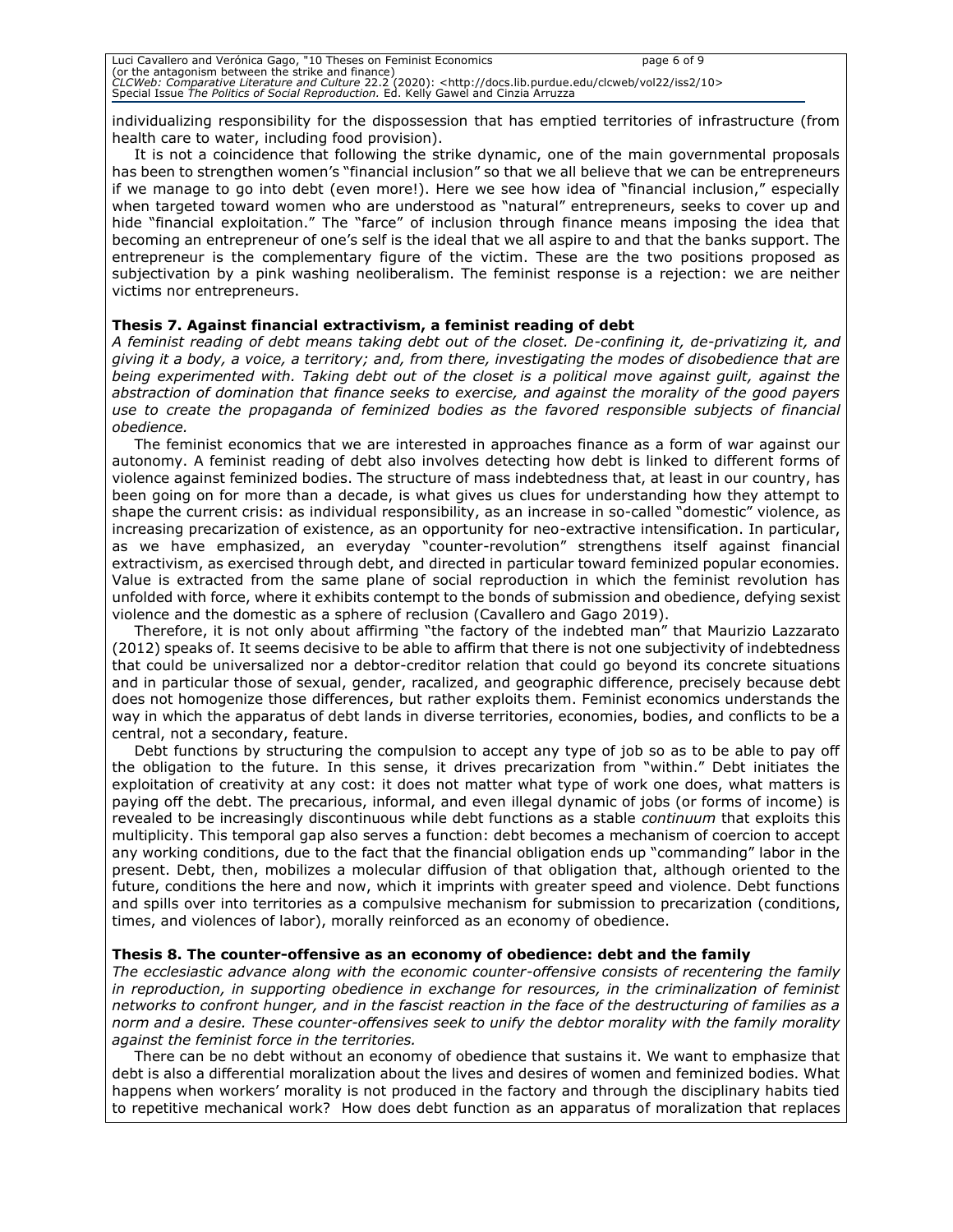individualizing responsibility for the dispossession that has emptied territories of infrastructure (from health care to water, including food provision).

It is not a coincidence that following the strike dynamic, one of the main governmental proposals has been to strengthen women's "financial inclusion" so that we all believe that we can be entrepreneurs if we manage to go into debt (even more!). Here we see how idea of "financial inclusion," especially when targeted toward women who are understood as "natural" entrepreneurs, seeks to cover up and hide "financial exploitation." The "farce" of inclusion through finance means imposing the idea that becoming an entrepreneur of one's self is the ideal that we all aspire to and that the banks support. The entrepreneur is the complementary figure of the victim. These are the two positions proposed as subjectivation by a pink washing neoliberalism. The feminist response is a rejection: we are neither victims nor entrepreneurs.

# **Thesis 7. Against financial extractivism, a feminist reading of debt**

*A feminist reading of debt means taking debt out of the closet. De-confining it, de-privatizing it, and giving it a body, a voice, a territory; and, from there, investigating the modes of disobedience that are being experimented with. Taking debt out of the closet is a political move against guilt, against the abstraction of domination that finance seeks to exercise, and against the morality of the good payers use to create the propaganda of feminized bodies as the favored responsible subjects of financial obedience.* 

The feminist economics that we are interested in approaches finance as a form of war against our autonomy. A feminist reading of debt also involves detecting how debt is linked to different forms of violence against feminized bodies. The structure of mass indebtedness that, at least in our country, has been going on for more than a decade, is what gives us clues for understanding how they attempt to shape the current crisis: as individual responsibility, as an increase in so-called "domestic" violence, as increasing precarization of existence, as an opportunity for neo-extractive intensification. In particular, as we have emphasized, an everyday "counter-revolution" strengthens itself against financial extractivism, as exercised through debt, and directed in particular toward feminized popular economies. Value is extracted from the same plane of social reproduction in which the feminist revolution has unfolded with force, where it exhibits contempt to the bonds of submission and obedience, defying sexist violence and the domestic as a sphere of reclusion (Cavallero and Gago 2019).

Therefore, it is not only about affirming "the factory of the indebted man" that Maurizio Lazzarato (2012) speaks of. It seems decisive to be able to affirm that there is not one subjectivity of indebtedness that could be universalized nor a debtor-creditor relation that could go beyond its concrete situations and in particular those of sexual, gender, racalized, and geographic difference, precisely because debt does not homogenize those differences, but rather exploits them. Feminist economics understands the way in which the apparatus of debt lands in diverse territories, economies, bodies, and conflicts to be a central, not a secondary, feature.

Debt functions by structuring the compulsion to accept any type of job so as to be able to pay off the obligation to the future. In this sense, it drives precarization from "within." Debt initiates the exploitation of creativity at any cost: it does not matter what type of work one does, what matters is paying off the debt. The precarious, informal, and even illegal dynamic of jobs (or forms of income) is revealed to be increasingly discontinuous while debt functions as a stable *continuum* that exploits this multiplicity. This temporal gap also serves a function: debt becomes a mechanism of coercion to accept any working conditions, due to the fact that the financial obligation ends up "commanding" labor in the present. Debt, then, mobilizes a molecular diffusion of that obligation that, although oriented to the future, conditions the here and now, which it imprints with greater speed and violence. Debt functions and spills over into territories as a compulsive mechanism for submission to precarization (conditions, times, and violences of labor), morally reinforced as an economy of obedience.

#### **Thesis 8. The counter-offensive as an economy of obedience: debt and the family**

*The ecclesiastic advance along with the economic counter-offensive consists of recentering the family in reproduction, in supporting obedience in exchange for resources, in the criminalization of feminist networks to confront hunger, and in the fascist reaction in the face of the destructuring of families as a norm and a desire. These counter-offensives seek to unify the debtor morality with the family morality against the feminist force in the territories.* 

There can be no debt without an economy of obedience that sustains it. We want to emphasize that debt is also a differential moralization about the lives and desires of women and feminized bodies. What happens when workers' morality is not produced in the factory and through the disciplinary habits tied to repetitive mechanical work? How does debt function as an apparatus of moralization that replaces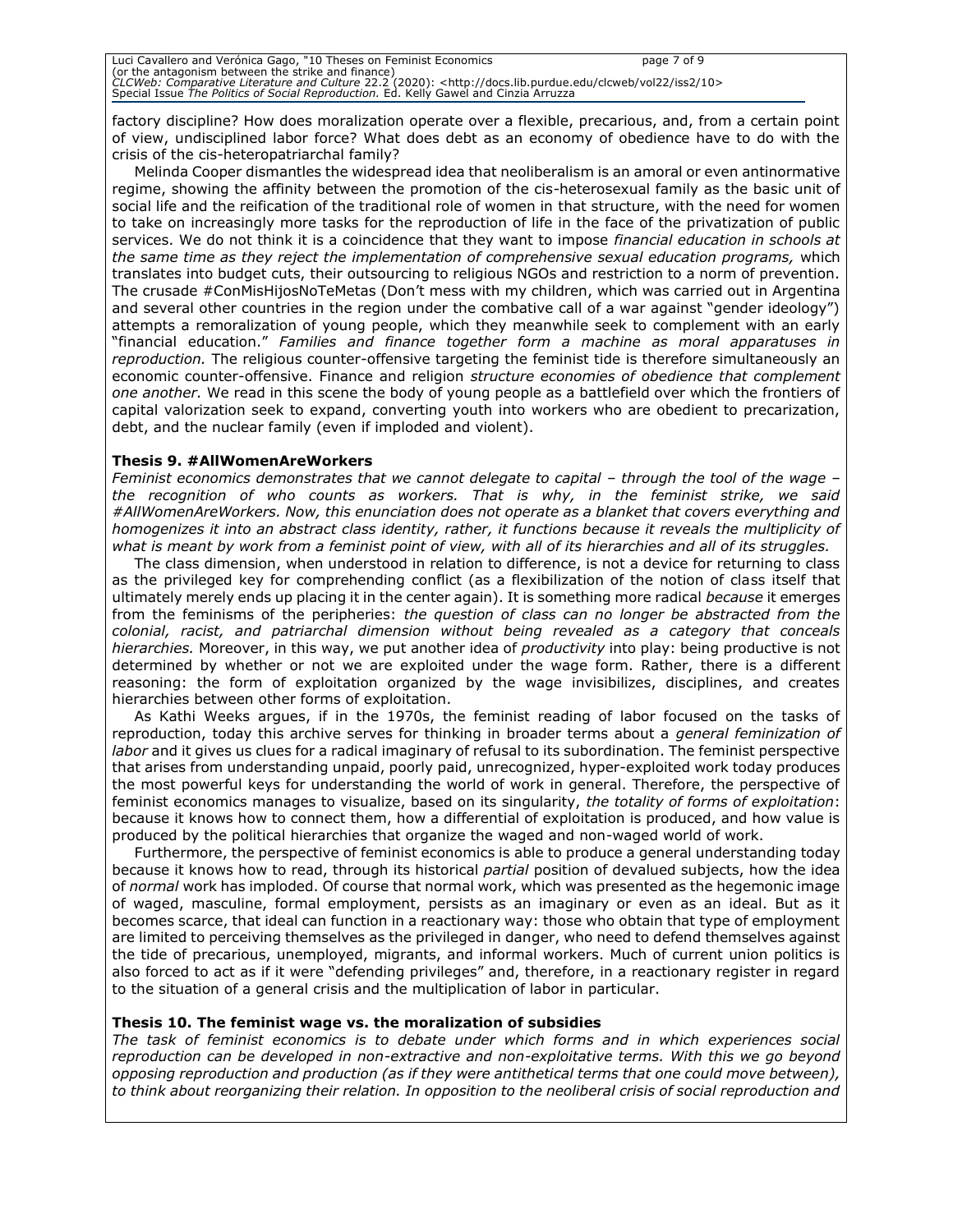factory discipline? How does moralization operate over a flexible, precarious, and, from a certain point of view, undisciplined labor force? What does debt as an economy of obedience have to do with the crisis of the cis-heteropatriarchal family?

Melinda Cooper dismantles the widespread idea that neoliberalism is an amoral or even antinormative regime, showing the affinity between the promotion of the cis-heterosexual family as the basic unit of social life and the reification of the traditional role of women in that structure, with the need for women to take on increasingly more tasks for the reproduction of life in the face of the privatization of public services. We do not think it is a coincidence that they want to impose *financial education in schools at the same time as they reject the implementation of comprehensive sexual education programs,* which translates into budget cuts, their outsourcing to religious NGOs and restriction to a norm of prevention. The crusade #ConMisHijosNoTeMetas (Don't mess with my children, which was carried out in Argentina and several other countries in the region under the combative call of a war against "gender ideology") attempts a remoralization of young people, which they meanwhile seek to complement with an early "financial education." *Families and finance together form a machine as moral apparatuses in reproduction.* The religious counter-offensive targeting the feminist tide is therefore simultaneously an economic counter-offensive. Finance and religion *structure economies of obedience that complement one another.* We read in this scene the body of young people as a battlefield over which the frontiers of capital valorization seek to expand, converting youth into workers who are obedient to precarization, debt, and the nuclear family (even if imploded and violent).

# **Thesis 9. #AllWomenAreWorkers**

*Feminist economics demonstrates that we cannot delegate to capital – through the tool of the wage*  $\cdot$ *the recognition of who counts as workers. That is why, in the feminist strike, we said #AllWomenAreWorkers. Now, this enunciation does not operate as a blanket that covers everything and homogenizes it into an abstract class identity, rather, it functions because it reveals the multiplicity of what is meant by work from a feminist point of view, with all of its hierarchies and all of its struggles.* 

The class dimension, when understood in relation to difference, is not a device for returning to class as the privileged key for comprehending conflict (as a flexibilization of the notion of class itself that ultimately merely ends up placing it in the center again). It is something more radical *because* it emerges from the feminisms of the peripheries: *the question of class can no longer be abstracted from the colonial, racist, and patriarchal dimension without being revealed as a category that conceals hierarchies.* Moreover, in this way, we put another idea of *productivity* into play: being productive is not determined by whether or not we are exploited under the wage form. Rather, there is a different reasoning: the form of exploitation organized by the wage invisibilizes, disciplines, and creates hierarchies between other forms of exploitation.

As Kathi Weeks argues, if in the 1970s, the feminist reading of labor focused on the tasks of reproduction, today this archive serves for thinking in broader terms about a *general feminization of labor* and it gives us clues for a radical imaginary of refusal to its subordination. The feminist perspective that arises from understanding unpaid, poorly paid, unrecognized, hyper-exploited work today produces the most powerful keys for understanding the world of work in general. Therefore, the perspective of feminist economics manages to visualize, based on its singularity, *the totality of forms of exploitation*: because it knows how to connect them, how a differential of exploitation is produced, and how value is produced by the political hierarchies that organize the waged and non-waged world of work.

Furthermore, the perspective of feminist economics is able to produce a general understanding today because it knows how to read, through its historical *partial* position of devalued subjects, how the idea of *normal* work has imploded. Of course that normal work, which was presented as the hegemonic image of waged, masculine, formal employment, persists as an imaginary or even as an ideal. But as it becomes scarce, that ideal can function in a reactionary way: those who obtain that type of employment are limited to perceiving themselves as the privileged in danger, who need to defend themselves against the tide of precarious, unemployed, migrants, and informal workers. Much of current union politics is also forced to act as if it were "defending privileges" and, therefore, in a reactionary register in regard to the situation of a general crisis and the multiplication of labor in particular.

# **Thesis 10. The feminist wage vs. the moralization of subsidies**

*The task of feminist economics is to debate under which forms and in which experiences social reproduction can be developed in non-extractive and non-exploitative terms. With this we go beyond opposing reproduction and production (as if they were antithetical terms that one could move between), to think about reorganizing their relation. In opposition to the neoliberal crisis of social reproduction and*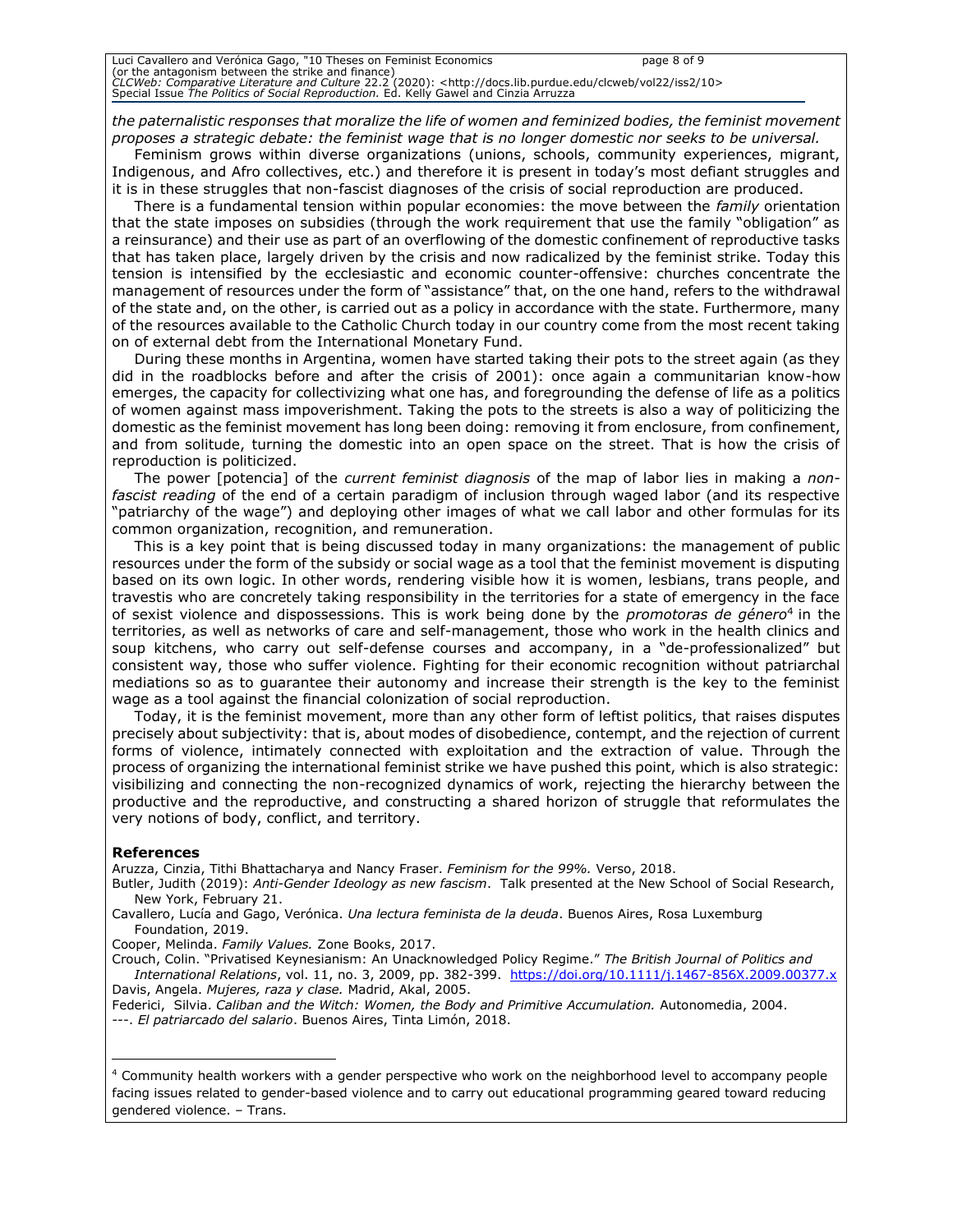| Luci Cavallero and Verónica Gago, "10 Theses on Feminist Economics                                                              | page 8 of 9 |
|---------------------------------------------------------------------------------------------------------------------------------|-------------|
| (or the antagonism between the strike and finance)                                                                              |             |
| CLCWeb: Comparative Literature and Culture 22.2 (2020): <http: 10="" clcweb="" docs.lib.purdue.edu="" iss2="" vol22=""></http:> |             |
| Special Issue <i>The Politics of Social Reproduction</i> . Ed. Kelly Gawel and Cinzia Arruzza                                   |             |

*the paternalistic responses that moralize the life of women and feminized bodies, the feminist movement proposes a strategic debate: the feminist wage that is no longer domestic nor seeks to be universal.* 

Feminism grows within diverse organizations (unions, schools, community experiences, migrant, Indigenous, and Afro collectives, etc.) and therefore it is present in today's most defiant struggles and it is in these struggles that non-fascist diagnoses of the crisis of social reproduction are produced.

There is a fundamental tension within popular economies: the move between the *family* orientation that the state imposes on subsidies (through the work requirement that use the family "obligation" as a reinsurance) and their use as part of an overflowing of the domestic confinement of reproductive tasks that has taken place, largely driven by the crisis and now radicalized by the feminist strike. Today this tension is intensified by the ecclesiastic and economic counter-offensive: churches concentrate the management of resources under the form of "assistance" that, on the one hand, refers to the withdrawal of the state and, on the other, is carried out as a policy in accordance with the state. Furthermore, many of the resources available to the Catholic Church today in our country come from the most recent taking on of external debt from the International Monetary Fund.

During these months in Argentina, women have started taking their pots to the street again (as they did in the roadblocks before and after the crisis of 2001): once again a communitarian know-how emerges, the capacity for collectivizing what one has, and foregrounding the defense of life as a politics of women against mass impoverishment. Taking the pots to the streets is also a way of politicizing the domestic as the feminist movement has long been doing: removing it from enclosure, from confinement, and from solitude, turning the domestic into an open space on the street. That is how the crisis of reproduction is politicized.

The power [potencia] of the *current feminist diagnosis* of the map of labor lies in making a *nonfascist reading* of the end of a certain paradigm of inclusion through waged labor (and its respective "patriarchy of the wage") and deploying other images of what we call labor and other formulas for its common organization, recognition, and remuneration.

This is a key point that is being discussed today in many organizations: the management of public resources under the form of the subsidy or social wage as a tool that the feminist movement is disputing based on its own logic. In other words, rendering visible how it is women, lesbians, trans people, and travestis who are concretely taking responsibility in the territories for a state of emergency in the face of sexist violence and dispossessions. This is work being done by the *promotoras de género*<sup>4</sup> in the territories, as well as networks of care and self-management, those who work in the health clinics and soup kitchens, who carry out self-defense courses and accompany, in a "de-professionalized" but consistent way, those who suffer violence. Fighting for their economic recognition without patriarchal mediations so as to guarantee their autonomy and increase their strength is the key to the feminist wage as a tool against the financial colonization of social reproduction.

Today, it is the feminist movement, more than any other form of leftist politics, that raises disputes precisely about subjectivity: that is, about modes of disobedience, contempt, and the rejection of current forms of violence, intimately connected with exploitation and the extraction of value. Through the process of organizing the international feminist strike we have pushed this point, which is also strategic: visibilizing and connecting the non-recognized dynamics of work, rejecting the hierarchy between the productive and the reproductive, and constructing a shared horizon of struggle that reformulates the very notions of body, conflict, and territory.

#### **References**

Aruzza, Cinzia, Tithi Bhattacharya and Nancy Fraser. *Feminism for the 99%.* Verso, 2018.

Butler, Judith (2019): *Anti-Gender Ideology as new fascism*. Talk presented at the New School of Social Research, New York, February 21.

Cooper, Melinda. *Family Values.* Zone Books, 2017.

Crouch, Colin. "Privatised Keynesianism: An Unacknowledged Policy Regime." *The British Journal of Politics and International Relations*, vol. 11, no. 3, 2009, pp. 382-399. <https://doi.org/10.1111/j.1467-856X.2009.00377.x> Davis, Angela. *Mujeres, raza y clase.* Madrid, Akal, 2005.

Federici, Silvia. *Caliban and the Witch: Women, the Body and Primitive Accumulation.* Autonomedia, 2004. ---. *El patriarcado del salario*. Buenos Aires, Tinta Limón, 2018.

<sup>4</sup> Community health workers with a gender perspective who work on the neighborhood level to accompany people facing issues related to gender-based violence and to carry out educational programming geared toward reducing gendered violence. – Trans.

Cavallero, Lucía and Gago, Verónica. *Una lectura feminista de la deuda*. Buenos Aires, Rosa Luxemburg Foundation, 2019.